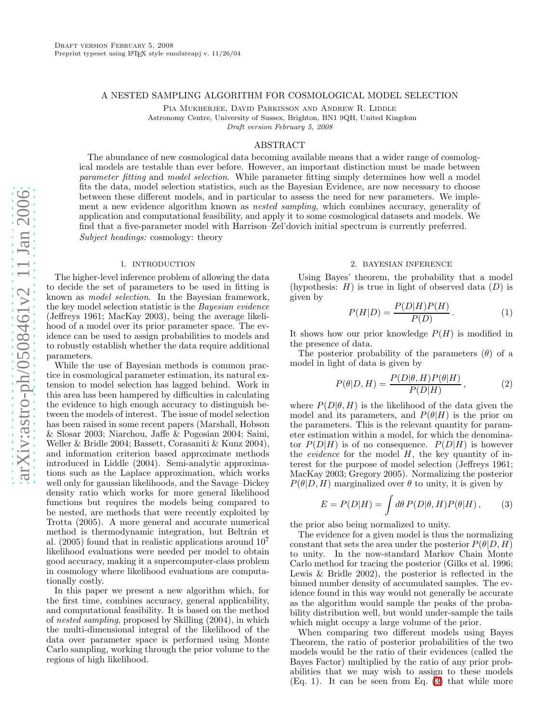# A NESTED SAMPLING ALGORITHM FOR COSMOLOGICAL MODEL SELECTION

PIA MUKHERJEE, DAVID PARKINSON AND ANDREW R. LIDDLE Astronomy Centre, University of Sussex, Brighton, BN1 9QH, United Kingdom Draft version February 5, 2008

# ABSTRACT

The abundance of new cosmological data becoming available means that a wider range of cosmological models are testable than ever before. However, an important distinction must be made between parameter fitting and model selection. While parameter fitting simply determines how well a model fits the data, model selection statistics, such as the Bayesian Evidence, are now necessary to choose between these different models, and in particular to assess the need for new parameters. We implement a new evidence algorithm known as nested sampling, which combines accuracy, generality of application and computational feasibility, and apply it to some cosmological datasets and models. We find that a five-parameter model with Harrison–Zel'dovich initial spectrum is currently preferred.

Subject headings: cosmology: theory

## 1. INTRODUCTION

The higher-level inference problem of allowing the data to decide the set of parameters to be used in fitting is known as model selection. In the Bayesian framework, the key model selection statistic is the Bayesian evidence (Jeffreys 1961; MacKay 2003), being the average likelihood of a model over its prior parameter space. The evidence can be used to assign probabilities to models and to robustly establish whether the data require additional parameters.

While the use of Bayesian methods is common practice in cosmological parameter estimation, its natural extension to model selection has lagged behind. Work in this area has been hampered by difficulties in calculating the evidence to high enough accuracy to distinguish between the models of interest. The issue of model selection has been raised in some recent papers (Marshall, Hobson & Slosar 2003; Niarchou, Jaffe & Pogosian 2004; Saini, Weller & Bridle 2004; Bassett, Corasaniti & Kunz 2004), and information criterion based approximate methods introduced in Liddle (2004). Semi-analytic approximations such as the Laplace approximation, which works well only for gaussian likelihoods, and the Savage–Dickey density ratio which works for more general likelihood functions but requires the models being compared to be nested, are methods that were recently exploited by Trotta (2005). A more general and accurate numerical method is thermodynamic integration, but Beltrán et al. (2005) found that in realistic applications around 10 7 likelihood evaluations were needed per model to obtain good accuracy, making it a supercomputer-class problem in cosmology where likelihood evaluations are computationally costly.

In this paper we present a new algorithm which, for the first time, combines accuracy, general applicability, and computational feasibility. It is based on the method of nested sampling, proposed by Skilling (2004), in which the multi-dimensional integral of the likelihood of the data over parameter space is performed using Monte Carlo sampling, working through the prior volume to the regions of high likelihood.

# 2. BAYESIAN INFERENCE

Using Bayes' theorem, the probability that a model (hypothesis:  $H$ ) is true in light of observed data  $(D)$  is given by

$$
P(H|D) = \frac{P(D|H)P(H)}{P(D)}.
$$
\n<sup>(1)</sup>

It shows how our prior knowledge  $P(H)$  is modified in the presence of data.

The posterior probability of the parameters  $(\theta)$  of a model in light of data is given by

$$
P(\theta|D, H) = \frac{P(D|\theta, H)P(\theta|H)}{P(D|H)},
$$
\n(2)

where  $P(D|\theta, H)$  is the likelihood of the data given the model and its parameters, and  $P(\theta|H)$  is the prior on the parameters. This is the relevant quantity for parameter estimation within a model, for which the denominator  $P(D|H)$  is of no consequence.  $P(D|H)$  is however the *evidence* for the model  $H$ , the key quantity of interest for the purpose of model selection (Jeffreys 1961; MacKay 2003; Gregory 2005). Normalizing the posterior  $P(\theta|D, H)$  marginalized over  $\theta$  to unity, it is given by

$$
E = P(D|H) = \int d\theta \, P(D|\theta, H) P(\theta|H), \qquad (3)
$$

<span id="page-0-0"></span>the prior also being normalized to unity.

The evidence for a given model is thus the normalizing constant that sets the area under the posterior  $P(\theta|D, H)$ to unity. In the now-standard Markov Chain Monte Carlo method for tracing the posterior (Gilks et al. 1996; Lewis & Bridle 2002), the posterior is reflected in the binned number density of accumulated samples. The evidence found in this way would not generally be accurate as the algorithm would sample the peaks of the probability distribution well, but would under-sample the tails which might occupy a large volume of the prior.

When comparing two different models using Bayes Theorem, the ratio of posterior probabilities of the two models would be the ratio of their evidences (called the Bayes Factor) multiplied by the ratio of any prior probabilities that we may wish to assign to these models (Eq. 1). It can be seen from Eq. [\(3\)](#page-0-0) that while more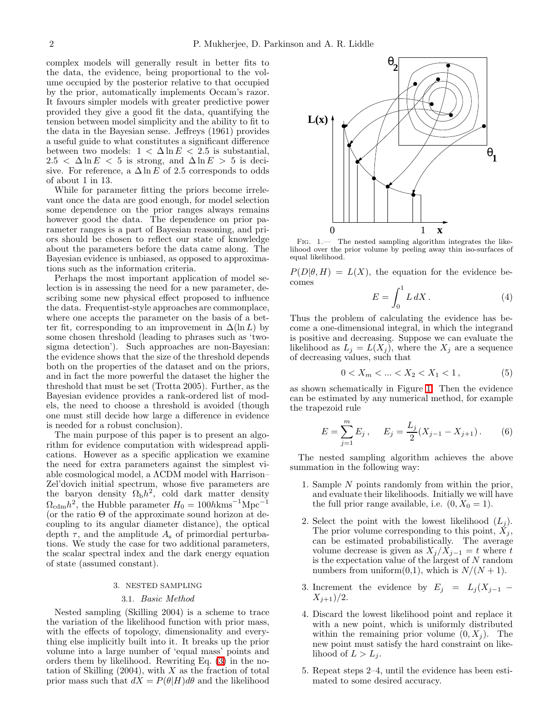complex models will generally result in better fits to the data, the evidence, being proportional to the volume occupied by the posterior relative to that occupied by the prior, automatically implements Occam's razor. It favours simpler models with greater predictive power provided they give a good fit the data, quantifying the tension between model simplicity and the ability to fit to the data in the Bayesian sense. Jeffreys (1961) provides a useful guide to what constitutes a significant difference between two models:  $1 < \Delta \ln E < 2.5$  is substantial,  $2.5 < \Delta \ln E < 5$  is strong, and  $\Delta \ln E > 5$  is decisive. For reference, a  $\Delta \ln E$  of 2.5 corresponds to odds of about 1 in 13.

While for parameter fitting the priors become irrelevant once the data are good enough, for model selection some dependence on the prior ranges always remains however good the data. The dependence on prior parameter ranges is a part of Bayesian reasoning, and priors should be chosen to reflect our state of knowledge about the parameters before the data came along. The Bayesian evidence is unbiased, as opposed to approximations such as the information criteria.

Perhaps the most important application of model selection is in assessing the need for a new parameter, describing some new physical effect proposed to influence the data. Frequentist-style approaches are commonplace, where one accepts the parameter on the basis of a better fit, corresponding to an improvement in  $\Delta(\ln L)$  by some chosen threshold (leading to phrases such as 'twosigma detection'). Such approaches are non-Bayesian: the evidence shows that the size of the threshold depends both on the properties of the dataset and on the priors, and in fact the more powerful the dataset the higher the threshold that must be set (Trotta 2005). Further, as the Bayesian evidence provides a rank-ordered list of models, the need to choose a threshold is avoided (though one must still decide how large a difference in evidence is needed for a robust conclusion).

The main purpose of this paper is to present an algorithm for evidence computation with widespread applications. However as a specific application we examine the need for extra parameters against the simplest viable cosmological model, a ΛCDM model with Harrison– Zel'dovich initial spectrum, whose five parameters are the baryon density  $\Omega_{\rm b}h^2$ , cold dark matter density  $\Omega_{\text{cdm}}h^2$ , the Hubble parameter  $H_0 = 100h$ kms<sup>-1</sup>Mpc<sup>-1</sup> (or the ratio  $\Theta$  of the approximate sound horizon at decoupling to its angular diameter distance), the optical depth  $\tau$ , and the amplitude  $A_s$  of primordial perturbations. We study the case for two additional parameters, the scalar spectral index and the dark energy equation of state (assumed constant).

#### 3. NESTED SAMPLING

#### 3.1. Basic Method

Nested sampling (Skilling 2004) is a scheme to trace the variation of the likelihood function with prior mass, with the effects of topology, dimensionality and everything else implicitly built into it. It breaks up the prior volume into a large number of 'equal mass' points and orders them by likelihood. Rewriting Eq. [\(3\)](#page-0-0) in the notation of Skilling  $(2004)$ , with X as the fraction of total prior mass such that  $dX = P(\theta|H)d\theta$  and the likelihood



<span id="page-1-0"></span>Fig. 1.— The nested sampling algorithm integrates the likelihood over the prior volume by peeling away thin iso-surfaces of equal likelihood.

 $P(D|\theta, H) = L(X)$ , the equation for the evidence becomes

$$
E = \int_0^1 L \, dX \,. \tag{4}
$$

Thus the problem of calculating the evidence has become a one-dimensional integral, in which the integrand is positive and decreasing. Suppose we can evaluate the likelihood as  $L_j = L(X_j)$ , where the  $X_j$  are a sequence of decreasing values, such that

$$
0 < X_m < \dots < X_2 < X_1 < 1 \tag{5}
$$

as shown schematically in Figure [1.](#page-1-0) Then the evidence can be estimated by any numerical method, for example the trapezoid rule

$$
E = \sum_{j=1}^{m} E_j, \quad E_j = \frac{L_j}{2} (X_{j-1} - X_{j+1}). \tag{6}
$$

The nested sampling algorithm achieves the above summation in the following way:

- 1. Sample N points randomly from within the prior, and evaluate their likelihoods. Initially we will have the full prior range available, i.e.  $(0, X_0 = 1)$ .
- 2. Select the point with the lowest likelihood  $(L_j)$ . The prior volume corresponding to this point,  $X_j$ , can be estimated probabilistically. The average volume decrease is given as  $X_j/X_{j-1} = t$  where t is the expectation value of the largest of  $N$  random numbers from uniform $(0,1)$ , which is  $N/(N+1)$ .
- 3. Increment the evidence by  $E_j = L_j (X_{j-1} X_{j+1})/2$ .
- 4. Discard the lowest likelihood point and replace it with a new point, which is uniformly distributed within the remaining prior volume  $(0, X_i)$ . The new point must satisfy the hard constraint on likelihood of  $L > L_j$ .
- 5. Repeat steps 2–4, until the evidence has been estimated to some desired accuracy.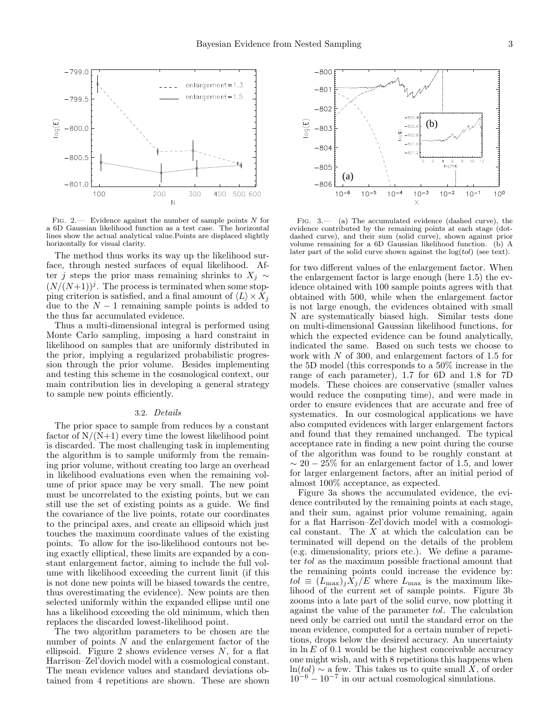

FIG. 2.— Evidence against the number of sample points  $N$  for a 6D Gaussian likelihood function as a test case. The horizontal lines show the actual analytical value.Points are displaced slightly horizontally for visual clarity.

The method thus works its way up the likelihood surface, through nested surfaces of equal likelihood. After j steps the prior mass remaining shrinks to  $X_j \sim$  $(N/(N+1))^j$ . The process is terminated when some stopping criterion is satisfied, and a final amount of  $\langle L \rangle \times X_i$ due to the  $N-1$  remaining sample points is added to the thus far accumulated evidence.

Thus a multi-dimensional integral is performed using Monte Carlo sampling, imposing a hard constraint in likelihood on samples that are uniformly distributed in the prior, implying a regularized probabilistic progression through the prior volume. Besides implementing and testing this scheme in the cosmological context, our main contribution lies in developing a general strategy to sample new points efficiently.

# 3.2. Details

The prior space to sample from reduces by a constant factor of  $N/(N+1)$  every time the lowest likelihood point is discarded. The most challenging task in implementing the algorithm is to sample uniformly from the remaining prior volume, without creating too large an overhead in likelihood evaluations even when the remaining volume of prior space may be very small. The new point must be uncorrelated to the existing points, but we can still use the set of existing points as a guide. We find the covariance of the live points, rotate our coordinates to the principal axes, and create an ellipsoid which just touches the maximum coordinate values of the existing points. To allow for the iso-likelihood contours not being exactly elliptical, these limits are expanded by a constant enlargement factor, aiming to include the full volume with likelihood exceeding the current limit (if this is not done new points will be biased towards the centre, thus overestimating the evidence). New points are then selected uniformly within the expanded ellipse until one has a likelihood exceeding the old minimum, which then replaces the discarded lowest-likelihood point.

The two algorithm parameters to be chosen are the number of points  $N$  and the enlargement factor of the ellipsoid. Figure 2 shows evidence verses  $N$ , for a flat Harrison–Zel'dovich model with a cosmological constant. The mean evidence values and standard deviations obtained from 4 repetitions are shown. These are shown



Fig. 3.— (a) The accumulated evidence (dashed curve), the evidence contributed by the remaining points at each stage (dotdashed curve), and their sum (solid curve), shown against prior volume remaining for a 6D Gaussian likelihood function. (b) A later part of the solid curve shown against the  $log(tol)$  (see text).

for two different values of the enlargement factor. When the enlargement factor is large enough (here 1.5) the evidence obtained with 100 sample points agrees with that obtained with 500, while when the enlargement factor is not large enough, the evidences obtained with small N are systematically biased high. Similar tests done on multi-dimensional Gaussian likelihood functions, for which the expected evidence can be found analytically, indicated the same. Based on such tests we choose to work with N of 300, and enlargement factors of 1.5 for the 5D model (this corresponds to a 50% increase in the range of each parameter), 1.7 for 6D and 1.8 for 7D models. These choices are conservative (smaller values would reduce the computing time), and were made in order to ensure evidences that are accurate and free of systematics. In our cosmological applications we have also computed evidences with larger enlargement factors and found that they remained unchanged. The typical acceptance rate in finding a new point during the course of the algorithm was found to be roughly constant at  $\sim 20 - 25\%$  for an enlargement factor of 1.5, and lower for larger enlargement factors, after an initial period of almost 100% acceptance, as expected.

Figure 3a shows the accumulated evidence, the evidence contributed by the remaining points at each stage, and their sum, against prior volume remaining, again for a flat Harrison–Zel'dovich model with a cosmological constant. The  $X$  at which the calculation can be terminated will depend on the details of the problem (e.g. dimensionality, priors etc.). We define a parameter tol as the maximum possible fractional amount that the remaining points could increase the evidence by:  $tol \equiv (L_{\text{max}})_{j}X_{j}/E$  where  $L_{\text{max}}$  is the maximum likelihood of the current set of sample points. Figure 3b zooms into a late part of the solid curve, now plotting it against the value of the parameter tol. The calculation need only be carried out until the standard error on the mean evidence, computed for a certain number of repetitions, drops below the desired accuracy. An uncertainty in  $\ln E$  of 0.1 would be the highest conceivable accuracy one might wish, and with 8 repetitions this happens when  $ln(tol) \sim a$  few. This takes us to quite small X, of order  $10^{-6} - 10^{-7}$  in our actual cosmological simulations.